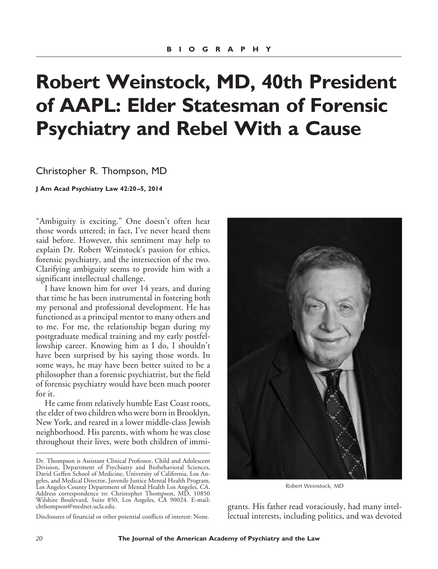# **Robert Weinstock, MD, 40th President of AAPL: Elder Statesman of Forensic Psychiatry and Rebel With a Cause**

Christopher R. Thompson, MD

**J Am Acad Psychiatry Law 42:20 –5, 2014**

"Ambiguity is exciting." One doesn't often hear those words uttered; in fact, I've never heard them said before. However, this sentiment may help to explain Dr. Robert Weinstock's passion for ethics, forensic psychiatry, and the intersection of the two. Clarifying ambiguity seems to provide him with a significant intellectual challenge.

I have known him for over 14 years, and during that time he has been instrumental in fostering both my personal and professional development. He has functioned as a principal mentor to many others and to me. For me, the relationship began during my postgraduate medical training and my early postfellowship career. Knowing him as I do, I shouldn't have been surprised by his saying those words. In some ways, he may have been better suited to be a philosopher than a forensic psychiatrist, but the field of forensic psychiatry would have been much poorer for it.

He came from relatively humble East Coast roots, the elder of two children who were born in Brooklyn, New York, and reared in a lower middle-class Jewish neighborhood. His parents, with whom he was close throughout their lives, were both children of immi-

Disclosures of financial or other potential conflicts of interest: None.



Robert Weinstock, MD

grants. His father read voraciously, had many intellectual interests, including politics, and was devoted

Dr. Thompson is Assistant Clinical Professor, Child and Adolescent Division, Department of Psychiatry and Biobehavioral Sciences, David Geffen School of Medicine, University of California, Los Angeles, and Medical Director, Juvenile Justice Mental Health Program, Los Angeles County Department of Mental Health Los Angeles, CA. Address correspondence to: Christopher Thompson, MD, 10850 Wilshire Boulevard, Suite 850, Los Angeles, CA 90024. E-mail: chthompson@mednet.ucla.edu.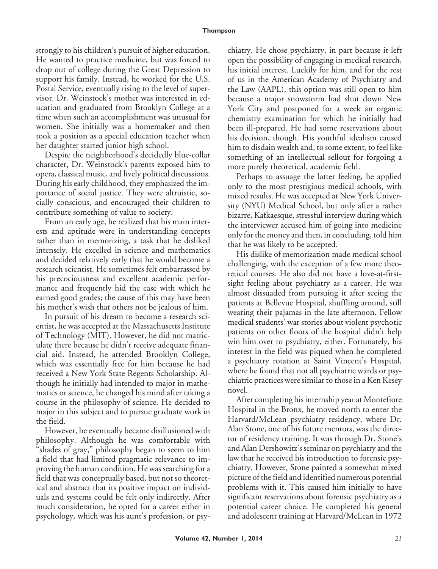## **Thompson**

strongly to his children's pursuit of higher education. He wanted to practice medicine, but was forced to drop out of college during the Great Depression to support his family. Instead, he worked for the U.S. Postal Service, eventually rising to the level of supervisor. Dr. Weinstock's mother was interested in education and graduated from Brooklyn College at a time when such an accomplishment was unusual for women. She initially was a homemaker and then took a position as a special education teacher when her daughter started junior high school.

Despite the neighborhood's decidedly blue-collar character, Dr. Weinstock's parents exposed him to opera, classical music, and lively political discussions. During his early childhood, they emphasized the importance of social justice. They were altruistic, socially conscious, and encouraged their children to contribute something of value to society.

From an early age, he realized that his main interests and aptitude were in understanding concepts rather than in memorizing, a task that he disliked intensely. He excelled in science and mathematics and decided relatively early that he would become a research scientist. He sometimes felt embarrassed by his precociousness and excellent academic performance and frequently hid the ease with which he earned good grades; the cause of this may have been his mother's wish that others not be jealous of him.

In pursuit of his dream to become a research scientist, he was accepted at the Massachusetts Institute of Technology (MIT). However, he did not matriculate there because he didn't receive adequate financial aid. Instead, he attended Brooklyn College, which was essentially free for him because he had received a New York State Regents Scholarship. Although he initially had intended to major in mathematics or science, he changed his mind after taking a course in the philosophy of science. He decided to major in this subject and to pursue graduate work in the field.

However, he eventually became disillusioned with philosophy. Although he was comfortable with "shades of gray," philosophy began to seem to him a field that had limited pragmatic relevance to improving the human condition. He was searching for a field that was conceptually based, but not so theoretical and abstract that its positive impact on individuals and systems could be felt only indirectly. After much consideration, he opted for a career either in psychology, which was his aunt's profession, or psychiatry. He chose psychiatry, in part because it left open the possibility of engaging in medical research, his initial interest. Luckily for him, and for the rest of us in the American Academy of Psychiatry and the Law (AAPL), this option was still open to him because a major snowstorm had shut down New York City and postponed for a week an organic chemistry examination for which he initially had been ill-prepared. He had some reservations about his decision, though. His youthful idealism caused him to disdain wealth and, to some extent, to feel like something of an intellectual sellout for forgoing a more purely theoretical, academic field.

Perhaps to assuage the latter feeling, he applied only to the most prestigious medical schools, with mixed results. He was accepted at New York University (NYU) Medical School, but only after a rather bizarre, Kafkaesque, stressful interview during which the interviewer accused him of going into medicine only for the money and then, in concluding, told him that he was likely to be accepted.

His dislike of memorization made medical school challenging, with the exception of a few more theoretical courses. He also did not have a love-at-firstsight feeling about psychiatry as a career. He was almost dissuaded from pursuing it after seeing the patients at Bellevue Hospital, shuffling around, still wearing their pajamas in the late afternoon. Fellow medical students' war stories about violent psychotic patients on other floors of the hospital didn't help win him over to psychiatry, either. Fortunately, his interest in the field was piqued when he completed a psychiatry rotation at Saint Vincent's Hospital, where he found that not all psychiatric wards or psychiatric practices were similar to those in a Ken Kesey novel.

After completing his internship year at Montefiore Hospital in the Bronx, he moved north to enter the Harvard/McLean psychiatry residency, where Dr. Alan Stone, one of his future mentors, was the director of residency training. It was through Dr. Stone's and Alan Dershowitz's seminar on psychiatry and the law that he received his introduction to forensic psychiatry. However, Stone painted a somewhat mixed picture of the field and identified numerous potential problems with it. This caused him initially to have significant reservations about forensic psychiatry as a potential career choice. He completed his general and adolescent training at Harvard/McLean in 1972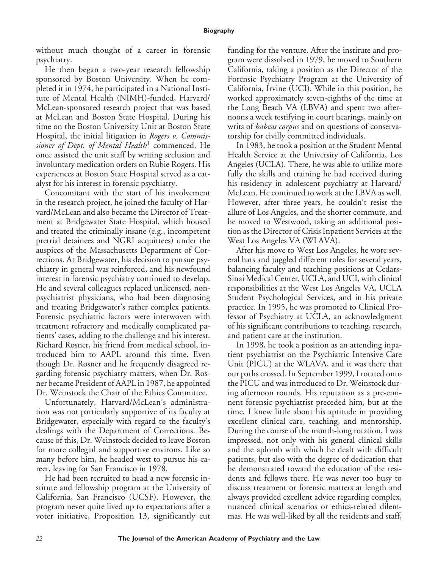without much thought of a career in forensic psychiatry.

He then began a two-year research fellowship sponsored by Boston University. When he completed it in 1974, he participated in a National Institute of Mental Health (NIMH)-funded, Harvard/ McLean-sponsored research project that was based at McLean and Boston State Hospital. During his time on the Boston University Unit at Boston State Hospital, the initial litigation in *Rogers v. Commissioner of Dept. of Mental Health*<sup>1</sup> commenced. He once assisted the unit staff by writing seclusion and involuntary medication orders on Rubie Rogers. His experiences at Boston State Hospital served as a catalyst for his interest in forensic psychiatry.

Concomitant with the start of his involvement in the research project, he joined the faculty of Harvard/McLean and also became the Director of Treatment at Bridgewater State Hospital, which housed and treated the criminally insane (e.g., incompetent pretrial detainees and NGRI acquittees) under the auspices of the Massachusetts Department of Corrections. At Bridgewater, his decision to pursue psychiatry in general was reinforced, and his newfound interest in forensic psychiatry continued to develop. He and several colleagues replaced unlicensed, nonpsychiatrist physicians, who had been diagnosing and treating Bridgewater's rather complex patients. Forensic psychiatric factors were interwoven with treatment refractory and medically complicated patients' cases, adding to the challenge and his interest. Richard Rosner, his friend from medical school, introduced him to AAPL around this time. Even though Dr. Rosner and he frequently disagreed regarding forensic psychiatry matters, when Dr. Rosner became President of AAPL in 1987, he appointed Dr. Weinstock the Chair of the Ethics Committee.

Unfortunately, Harvard/McLean's administration was not particularly supportive of its faculty at Bridgewater, especially with regard to the faculty's dealings with the Department of Corrections. Because of this, Dr. Weinstock decided to leave Boston for more collegial and supportive environs. Like so many before him, he headed west to pursue his career, leaving for San Francisco in 1978.

He had been recruited to head a new forensic institute and fellowship program at the University of California, San Francisco (UCSF). However, the program never quite lived up to expectations after a voter initiative, Proposition 13, significantly cut funding for the venture. After the institute and program were dissolved in 1979, he moved to Southern California, taking a position as the Director of the Forensic Psychiatry Program at the University of California, Irvine (UCI). While in this position, he worked approximately seven-eighths of the time at the Long Beach VA (LBVA) and spent two afternoons a week testifying in court hearings, mainly on writs of *habeas corpus* and on questions of conservatorship for civilly committed individuals.

In 1983, he took a position at the Student Mental Health Service at the University of California, Los Angeles (UCLA). There, he was able to utilize more fully the skills and training he had received during his residency in adolescent psychiatry at Harvard/ McLean. He continued to work at the LBVA as well. However, after three years, he couldn't resist the allure of Los Angeles, and the shorter commute, and he moved to Westwood, taking an additional position as the Director of Crisis Inpatient Services at the West Los Angeles VA (WLAVA).

After his move to West Los Angeles, he wore several hats and juggled different roles for several years, balancing faculty and teaching positions at Cedars-Sinai Medical Center, UCLA, and UCI, with clinical responsibilities at the West Los Angeles VA, UCLA Student Psychological Services, and in his private practice. In 1995, he was promoted to Clinical Professor of Psychiatry at UCLA, an acknowledgment of his significant contributions to teaching, research, and patient care at the institution.

In 1998, he took a position as an attending inpatient psychiatrist on the Psychiatric Intensive Care Unit (PICU) at the WLAVA, and it was there that our paths crossed. In September 1999, I rotated onto the PICU and was introduced to Dr. Weinstock during afternoon rounds. His reputation as a pre-eminent forensic psychiatrist preceded him, but at the time, I knew little about his aptitude in providing excellent clinical care, teaching, and mentorship. During the course of the month-long rotation, I was impressed, not only with his general clinical skills and the aplomb with which he dealt with difficult patients, but also with the degree of dedication that he demonstrated toward the education of the residents and fellows there. He was never too busy to discuss treatment or forensic matters at length and always provided excellent advice regarding complex, nuanced clinical scenarios or ethics-related dilemmas. He was well-liked by all the residents and staff,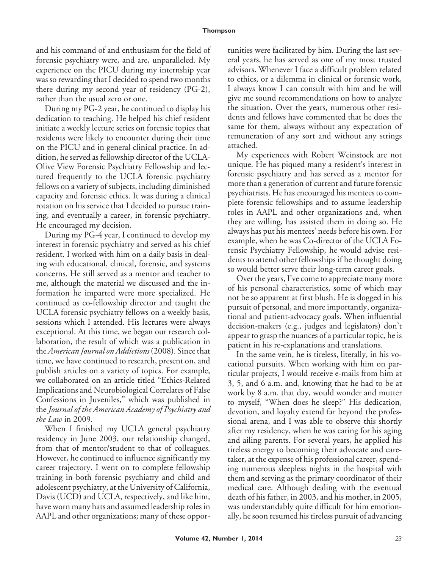## **Thompson**

and his command of and enthusiasm for the field of forensic psychiatry were, and are, unparalleled. My experience on the PICU during my internship year was so rewarding that I decided to spend two months there during my second year of residency (PG-2), rather than the usual zero or one.

During my PG-2 year, he continued to display his dedication to teaching. He helped his chief resident initiate a weekly lecture series on forensic topics that residents were likely to encounter during their time on the PICU and in general clinical practice. In addition, he served as fellowship director of the UCLA-Olive View Forensic Psychiatry Fellowship and lectured frequently to the UCLA forensic psychiatry fellows on a variety of subjects, including diminished capacity and forensic ethics. It was during a clinical rotation on his service that I decided to pursue training, and eventually a career, in forensic psychiatry. He encouraged my decision.

During my PG-4 year, I continued to develop my interest in forensic psychiatry and served as his chief resident. I worked with him on a daily basis in dealing with educational, clinical, forensic, and systems concerns. He still served as a mentor and teacher to me, although the material we discussed and the information he imparted were more specialized. He continued as co-fellowship director and taught the UCLA forensic psychiatry fellows on a weekly basis, sessions which I attended. His lectures were always exceptional. At this time, we began our research collaboration, the result of which was a publication in the *American Journal on Addictions* (2008). Since that time, we have continued to research, present on, and publish articles on a variety of topics. For example, we collaborated on an article titled "Ethics-Related Implications and Neurobiological Correlates of False Confessions in Juveniles," which was published in the *Journal of the American Academy of Psychiatry and the Law* in 2009.

When I finished my UCLA general psychiatry residency in June 2003, our relationship changed, from that of mentor/student to that of colleagues. However, he continued to influence significantly my career trajectory. I went on to complete fellowship training in both forensic psychiatry and child and adolescent psychiatry, at the University of California, Davis (UCD) and UCLA, respectively, and like him, have worn many hats and assumed leadership roles in AAPL and other organizations; many of these opportunities were facilitated by him. During the last several years, he has served as one of my most trusted advisors. Whenever I face a difficult problem related to ethics, or a dilemma in clinical or forensic work, I always know I can consult with him and he will give me sound recommendations on how to analyze the situation. Over the years, numerous other residents and fellows have commented that he does the same for them, always without any expectation of remuneration of any sort and without any strings attached.

My experiences with Robert Weinstock are not unique. He has piqued many a resident's interest in forensic psychiatry and has served as a mentor for more than a generation of current and future forensic psychiatrists. He has encouraged his mentees to complete forensic fellowships and to assume leadership roles in AAPL and other organizations and, when they are willing, has assisted them in doing so. He always has put his mentees' needs before his own. For example, when he was Co-director of the UCLA Forensic Psychiatry Fellowship, he would advise residents to attend other fellowships if he thought doing so would better serve their long-term career goals.

Over the years, I've come to appreciate many more of his personal characteristics, some of which may not be so apparent at first blush. He is dogged in his pursuit of personal, and more importantly, organizational and patient-advocacy goals. When influential decision-makers (e.g., judges and legislators) don't appear to grasp the nuances of a particular topic, he is patient in his re-explanations and translations.

In the same vein, he is tireless, literally, in his vocational pursuits. When working with him on particular projects, I would receive e-mails from him at 3, 5, and 6 a.m. and, knowing that he had to be at work by 8 a.m. that day, would wonder and mutter to myself, "When does he sleep?" His dedication, devotion, and loyalty extend far beyond the professional arena, and I was able to observe this shortly after my residency, when he was caring for his aging and ailing parents. For several years, he applied his tireless energy to becoming their advocate and caretaker, at the expense of his professional career, spending numerous sleepless nights in the hospital with them and serving as the primary coordinator of their medical care. Although dealing with the eventual death of his father, in 2003, and his mother, in 2005, was understandably quite difficult for him emotionally, he soon resumed his tireless pursuit of advancing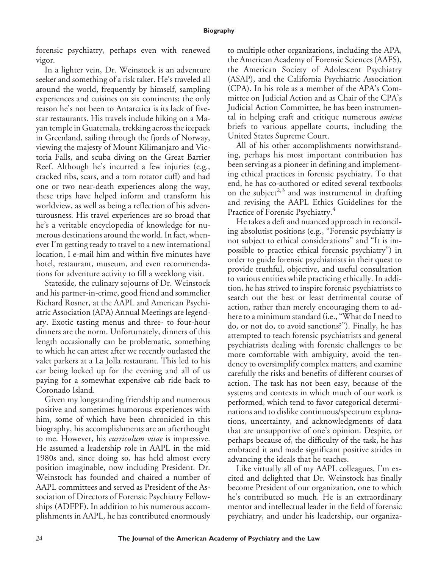forensic psychiatry, perhaps even with renewed vigor.

In a lighter vein, Dr. Weinstock is an adventure seeker and something of a risk taker. He's traveled all around the world, frequently by himself, sampling experiences and cuisines on six continents; the only reason he's not been to Antarctica is its lack of fivestar restaurants. His travels include hiking on a Mayan temple in Guatemala, trekking across the icepack in Greenland, sailing through the fjords of Norway, viewing the majesty of Mount Kilimanjaro and Victoria Falls, and scuba diving on the Great Barrier Reef. Although he's incurred a few injuries (e.g., cracked ribs, scars, and a torn rotator cuff) and had one or two near-death experiences along the way, these trips have helped inform and transform his worldview, as well as being a reflection of his adventurousness. His travel experiences are so broad that he's a veritable encyclopedia of knowledge for numerous destinations around the world. In fact, whenever I'm getting ready to travel to a new international location, I e-mail him and within five minutes have hotel, restaurant, museum, and even recommendations for adventure activity to fill a weeklong visit.

Stateside, the culinary sojourns of Dr. Weinstock and his partner-in-crime, good friend and sommelier Richard Rosner, at the AAPL and American Psychiatric Association (APA) Annual Meetings are legendary. Exotic tasting menus and three- to four-hour dinners are the norm. Unfortunately, dinners of this length occasionally can be problematic, something to which he can attest after we recently outlasted the valet parkers at a La Jolla restaurant. This led to his car being locked up for the evening and all of us paying for a somewhat expensive cab ride back to Coronado Island.

Given my longstanding friendship and numerous positive and sometimes humorous experiences with him, some of which have been chronicled in this biography, his accomplishments are an afterthought to me. However, his *curriculum vitae* is impressive. He assumed a leadership role in AAPL in the mid 1980s and, since doing so, has held almost every position imaginable, now including President. Dr. Weinstock has founded and chaired a number of AAPL committees and served as President of the Association of Directors of Forensic Psychiatry Fellowships (ADFPF). In addition to his numerous accomplishments in AAPL, he has contributed enormously to multiple other organizations, including the APA, the American Academy of Forensic Sciences (AAFS), the American Society of Adolescent Psychiatry (ASAP), and the California Psychiatric Association (CPA). In his role as a member of the APA's Committee on Judicial Action and as Chair of the CPA's Judicial Action Committee, he has been instrumental in helping craft and critique numerous *amicus* briefs to various appellate courts, including the United States Supreme Court.

All of his other accomplishments notwithstanding, perhaps his most important contribution has been serving as a pioneer in defining and implementing ethical practices in forensic psychiatry. To that end, he has co-authored or edited several textbooks on the subject<sup>2,3</sup> and was instrumental in drafting and revising the AAPL Ethics Guidelines for the Practice of Forensic Psychiatry.<sup>4</sup>

He takes a deft and nuanced approach in reconciling absolutist positions (e.g., "Forensic psychiatry is not subject to ethical considerations" and "It is impossible to practice ethical forensic psychiatry") in order to guide forensic psychiatrists in their quest to provide truthful, objective, and useful consultation to various entities while practicing ethically. In addition, he has strived to inspire forensic psychiatrists to search out the best or least detrimental course of action, rather than merely encouraging them to adhere to a minimum standard (i.e., "What do I need to do, or not do, to avoid sanctions?"). Finally, he has attempted to teach forensic psychiatrists and general psychiatrists dealing with forensic challenges to be more comfortable with ambiguity, avoid the tendency to oversimplify complex matters, and examine carefully the risks and benefits of different courses of action. The task has not been easy, because of the systems and contexts in which much of our work is performed, which tend to favor categorical determinations and to dislike continuous/spectrum explanations, uncertainty, and acknowledgments of data that are unsupportive of one's opinion. Despite, or perhaps because of, the difficulty of the task, he has embraced it and made significant positive strides in advancing the ideals that he teaches.

Like virtually all of my AAPL colleagues, I'm excited and delighted that Dr. Weinstock has finally become President of our organization, one to which he's contributed so much. He is an extraordinary mentor and intellectual leader in the field of forensic psychiatry, and under his leadership, our organiza-